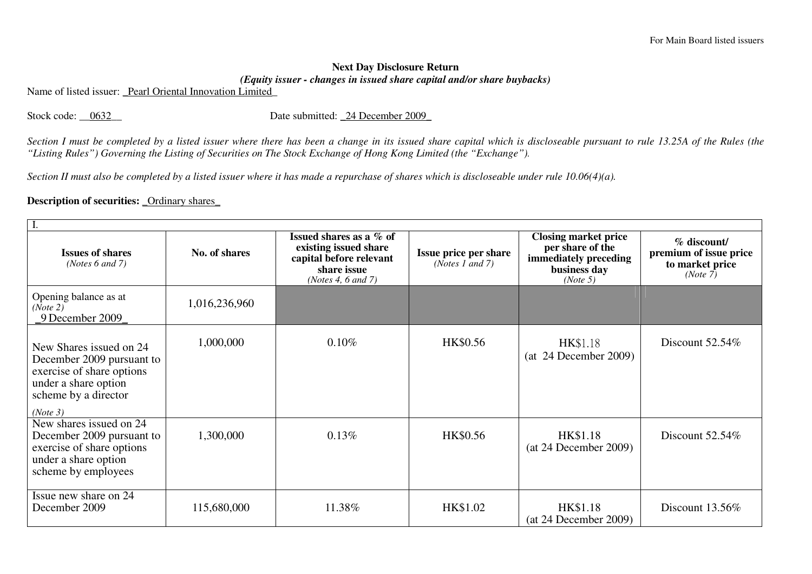#### **Next Day Disclosure Return** *(Equity issuer - changes in issued share capital and/or share buybacks)*

Name of listed issuer: \_Pearl Oriental Innovation Limited\_

Stock code: \_\_0632\_\_ Date submitted: \_24 December 2009\_

*Section I must be completed by a listed issuer where there has been a change in its issued share capital which is discloseable pursuant to rule 13.25A of the Rules (the "Listing Rules") Governing the Listing of Securities on The Stock Exchange of Hong Kong Limited (the "Exchange").* 

*Section II must also be completed by a listed issuer where it has made a repurchase of shares which is discloseable under rule 10.06(4)(a).* 

#### **Description of securities:** \_Ordinary shares\_

| $\overline{I}$ .                                                                                                                              |               |                                                                                                                  |                                          |                                                                                                      |                                                                        |  |
|-----------------------------------------------------------------------------------------------------------------------------------------------|---------------|------------------------------------------------------------------------------------------------------------------|------------------------------------------|------------------------------------------------------------------------------------------------------|------------------------------------------------------------------------|--|
| <b>Issues of shares</b><br>(Notes $6$ and $7$ )                                                                                               | No. of shares | Issued shares as a % of<br>existing issued share<br>capital before relevant<br>share issue<br>(Notes 4, 6 and 7) | Issue price per share<br>(Notes 1 and 7) | <b>Closing market price</b><br>per share of the<br>immediately preceding<br>business day<br>(Note 5) | $%$ discount/<br>premium of issue price<br>to market price<br>(Note 7) |  |
| Opening balance as at<br>(Note 2)<br>9 December 2009                                                                                          | 1,016,236,960 |                                                                                                                  |                                          |                                                                                                      |                                                                        |  |
| New Shares issued on 24<br>December 2009 pursuant to<br>exercise of share options<br>under a share option<br>scheme by a director<br>(Note 3) | 1,000,000     | 0.10%                                                                                                            | HK\$0.56                                 | <b>HK\$1.18</b><br>(at 24 December 2009)                                                             | Discount $52.54\%$                                                     |  |
| New shares issued on 24<br>December 2009 pursuant to<br>exercise of share options<br>under a share option<br>scheme by employees              | 1,300,000     | 0.13%                                                                                                            | HK\$0.56                                 | HK\$1.18<br>(at 24 December 2009)                                                                    | Discount $52.54\%$                                                     |  |
| Issue new share on 24<br>December 2009                                                                                                        | 115,680,000   | 11.38%                                                                                                           | HK\$1.02                                 | HK\$1.18<br>(at 24 December 2009)                                                                    | Discount $13.56\%$                                                     |  |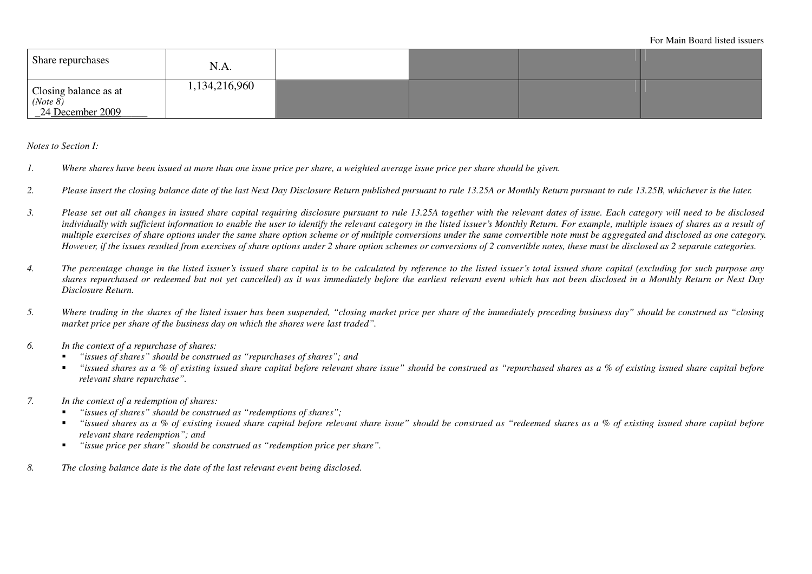| Share repurchases                                             | N.A.          |  |  |
|---------------------------------------------------------------|---------------|--|--|
| Closing balance as at ( <i>Note 8</i> )<br>_24 December 2009_ | 1,134,216,960 |  |  |

*Notes to Section I:* 

- *1. Where shares have been issued at more than one issue price per share, a weighted average issue price per share should be given.*
- *2. Please insert the closing balance date of the last Next Day Disclosure Return published pursuant to rule 13.25A or Monthly Return pursuant to rule 13.25B, whichever is the later.*
- *3. Please set out all changes in issued share capital requiring disclosure pursuant to rule 13.25A together with the relevant dates of issue. Each category will need to be disclosed individually with sufficient information to enable the user to identify the relevant category in the listed issuer's Monthly Return. For example, multiple issues of shares as a result of multiple exercises of share options under the same share option scheme or of multiple conversions under the same convertible note must be aggregated and disclosed as one category. However, if the issues resulted from exercises of share options under 2 share option schemes or conversions of 2 convertible notes, these must be disclosed as 2 separate categories.*
- *4. The percentage change in the listed issuer's issued share capital is to be calculated by reference to the listed issuer's total issued share capital (excluding for such purpose any shares repurchased or redeemed but not yet cancelled) as it was immediately before the earliest relevant event which has not been disclosed in a Monthly Return or Next Day Disclosure Return.*
- *5. Where trading in the shares of the listed issuer has been suspended, "closing market price per share of the immediately preceding business day" should be construed as "closing market price per share of the business day on which the shares were last traded".*
- *6. In the context of a repurchase of shares:* 
	- *"issues of shares" should be construed as "repurchases of shares"; and*
	- $\blacksquare$  *"issued shares as a % of existing issued share capital before relevant share issue" should be construed as "repurchased shares as a % of existing issued share capital before relevant share repurchase".*
- *7. In the context of a redemption of shares:* 
	- *"issues of shares" should be construed as "redemptions of shares";*
	- *"issued shares as a % of existing issued share capital before relevant share issue" should be construed as "redeemed shares as a % of existing issued share capital before relevant share redemption"; and*
	- *"issue price per share" should be construed as "redemption price per share".*   $\blacksquare$
- *8. The closing balance date is the date of the last relevant event being disclosed.*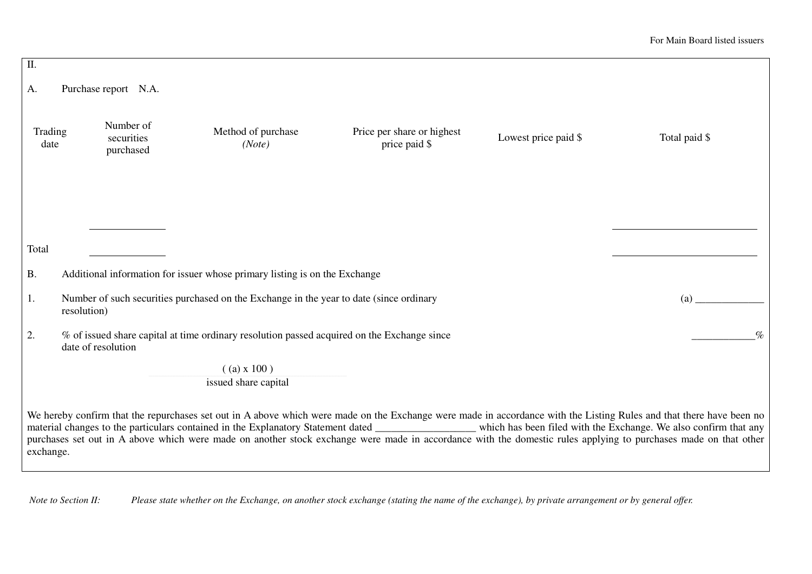| $\overline{\mathbf{II}}$ . |             |                                      |                                                                                                                                                                                                                                                                                                                                                                                                                                                                                                                |                                             |                      |                 |
|----------------------------|-------------|--------------------------------------|----------------------------------------------------------------------------------------------------------------------------------------------------------------------------------------------------------------------------------------------------------------------------------------------------------------------------------------------------------------------------------------------------------------------------------------------------------------------------------------------------------------|---------------------------------------------|----------------------|-----------------|
| Α.                         |             | Purchase report N.A.                 |                                                                                                                                                                                                                                                                                                                                                                                                                                                                                                                |                                             |                      |                 |
| Trading<br>date            |             | Number of<br>securities<br>purchased | Method of purchase<br>(Note)                                                                                                                                                                                                                                                                                                                                                                                                                                                                                   | Price per share or highest<br>price paid \$ | Lowest price paid \$ | Total paid \$   |
|                            |             |                                      |                                                                                                                                                                                                                                                                                                                                                                                                                                                                                                                |                                             |                      |                 |
| Total                      |             |                                      |                                                                                                                                                                                                                                                                                                                                                                                                                                                                                                                |                                             |                      |                 |
| <b>B.</b>                  |             |                                      | Additional information for issuer whose primary listing is on the Exchange                                                                                                                                                                                                                                                                                                                                                                                                                                     |                                             |                      |                 |
| 1.                         | resolution) |                                      | Number of such securities purchased on the Exchange in the year to date (since ordinary                                                                                                                                                                                                                                                                                                                                                                                                                        |                                             |                      | (a)             |
| 2.                         |             | date of resolution                   | % of issued share capital at time ordinary resolution passed acquired on the Exchange since                                                                                                                                                                                                                                                                                                                                                                                                                    |                                             |                      | $\mathcal{O}_0$ |
|                            |             |                                      | $($ (a) x 100)<br>issued share capital                                                                                                                                                                                                                                                                                                                                                                                                                                                                         |                                             |                      |                 |
| exchange.                  |             |                                      | We hereby confirm that the repurchases set out in A above which were made on the Exchange were made in accordance with the Listing Rules and that there have been no<br>material changes to the particulars contained in the Explanatory Statement dated _________________ which has been filed with the Exchange. We also confirm that any<br>purchases set out in A above which were made on another stock exchange were made in accordance with the domestic rules applying to purchases made on that other |                                             |                      |                 |

 *Note to Section II: Please state whether on the Exchange, on another stock exchange (stating the name of the exchange), by private arrangement or by general offer.*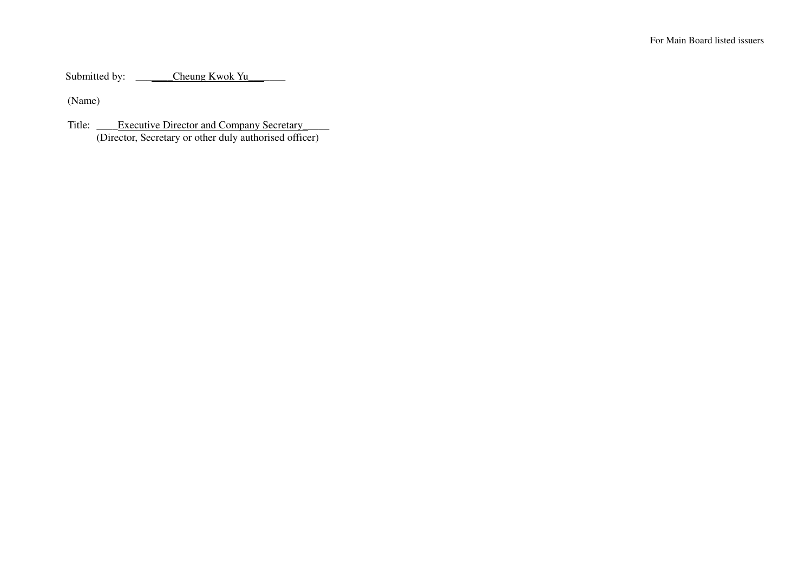Submitted by: \_\_\_\_\_\_\_Cheung Kwok Yu\_\_\_\_\_\_\_

(Name)

Title: Executive Director and Company Secretary (Director, Secretary or other duly authorised officer)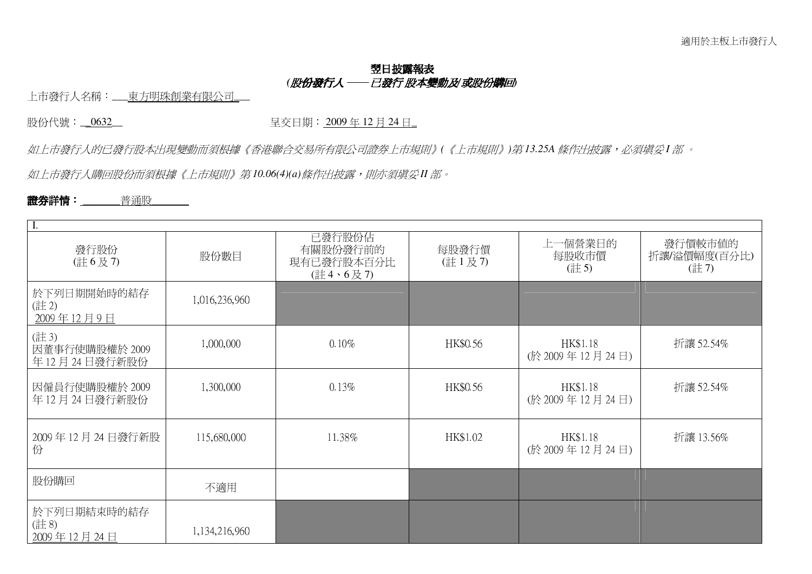# 翌日披露報表*(*股份發行人 ── 已發行 股本變動及*/*或股份購回*)*

上市發行人名稱:\_\_\_東方明珠創業有限公司\_\_\_

### 股份代號:<u>\_\_0632</u>\_\_

年 <sup>12</sup> <sup>月</sup> <sup>24</sup> <sup>日</sup>**\_**

如上市發行人的已發行股本出現變動而須根據《香港聯合交易所有限公司證券上市規則》*(*《上市規則》*)*第 *13.25A* 條作出披露,必須填妥 *<sup>I</sup>* <sup>部</sup> 。

如上市發行人購回股份而須根據《上市規則》第10.06(4)(a)條作出披露,則亦須塡妥 II 部。<br>.<br>.

### 證券詳情: **\_\_\_\_\_\_\_**普通股**\_\_\_\_\_\_\_**

| Ι.                                     |               |                                                    |                 |                               |                                 |  |
|----------------------------------------|---------------|----------------------------------------------------|-----------------|-------------------------------|---------------------------------|--|
| 發行股份<br>(註6及7)                         | 股份數目          | 已發行股份佔<br>有關股份發行前的<br>現有已發行股本百分比<br>$($ 註 4、6 及 7) | 每股發行價<br>(註1及7) | 上一個營業日的<br>每股收市價<br>$(\pm 5)$ | 發行價較市值的<br>折讓/溢價幅度(百分比)<br>(註7) |  |
| 於下列日期開始時的結存<br>(註2)<br>2009年12月9日      | 1,016,236,960 |                                                    |                 |                               |                                 |  |
| (註3)<br>因董事行使購股權於 2009<br>年12月24日發行新股份 | 1,000,000     | 0.10%                                              | HK\$0.56        | HK\$1.18<br>(於 2009年12月24日)   | 折讓 52.54%                       |  |
| 因僱員行使購股權於 2009<br>年 12 月 24 日發行新股份     | 1,300,000     | $0.13\%$                                           | HK\$0.56        | HK\$1.18<br>(於 2009年12月24日)   | 折讓 52.54%                       |  |
| 2009年12月24日發行新股<br>份                   | 115,680,000   | 11.38%                                             | HK\$1.02        | HK\$1.18<br>(於 2009年12月24日)   | 折讓 13.56%                       |  |
| 股份購回                                   | 不適用           |                                                    |                 |                               |                                 |  |
| 於下列日期結束時的結存<br>(註8)<br>2009年12月24日     | 1,134,216,960 |                                                    |                 |                               |                                 |  |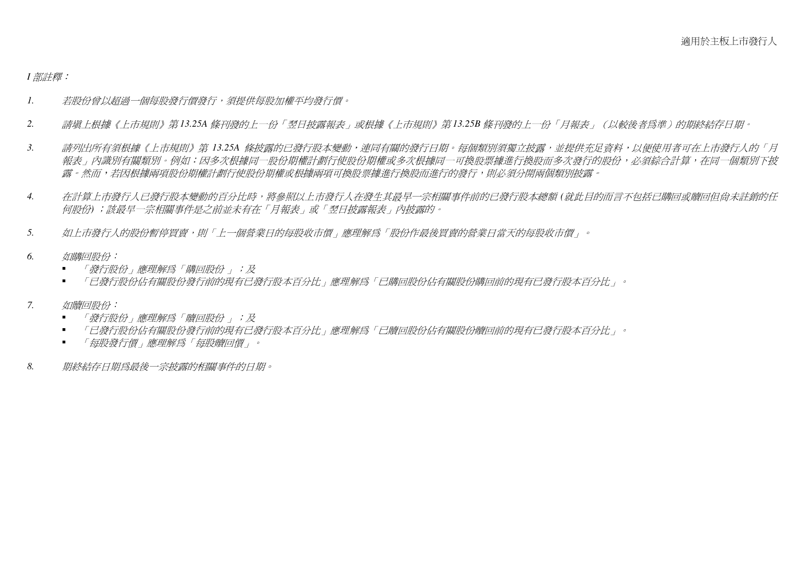*I* 部註釋:

- *1.* 若股份曾以超過一個每股發行價發行,須提供每股加權平均發行價。
- *2.* 請填上根據《上市規則》第 *13.25A* 條刊發的上一份「翌日披露報表」或根據《上市規則》第 *13.25B* 條刊發的上一份「月報表」(以較後者為準)的期終結存日期。
- *3.* 請列出所有須根據《上市規則》第 *13.25A* 條披露的已發行股本變動,連同有關的發行日期。每個類別須獨立披露,並提供充足資料,以便使用者可在上市發行人的「月 報表」內識別有關類別。例如:因多次根據同一股份期權計劃行使股份期權或多次根據同一可換股票據進行換股而多次發行的股份,必須綜合計算,在同一個類別下披露。然而,若因根據兩項股份期權計劃行使股份期權或根據兩項可換股票據進行換股而進行的發行,則必須分開兩個類別披露。
- *4.* 在計算上市發行人已發行股本變動的百分比時,將參照以上市發行人在發生其最早一宗相關事件前的已發行股本總額 *(*就此目的而言不包括已購回或贖回但尚未註銷的任何股份*)* ;該最早一宗相關事件是之前並未有在「月報表」或「翌日披露報表」內披露的。
- *5.* 如上市發行人的股份暫停買賣,則「上一個營業日的每股收市價」應理解為「股份作最後買賣的營業日當天的每股收市價」。
- *6.* 如購回股份:
	- 「發行股份」應理解爲「購回股份 」;及<br>■ 「ロ※年処仏/上提即仏孫 年命的理 右口
	- 「已發行股份佔有關股份發行前的現有已發行股本百分比」應理解為「已購回股份佔有關股份購回前的現有已發行股本百分比」。
- *7.* 如贖回股份:
	- 「發行股份」應理解爲「贖回股份 」;及<br>■ 「ロ※を肥ムハ右調肥ム※を前始担右口
	- 「已發行股份佔有關股份發行前的現有已發行股本百分比」應理解為「已贖回股份佔有關股份贖回前的現有已發行股本百分比」。
	- 「每股發行價」應理解為「每股贖回價」。
- *8.* 期終結存日期為最後一宗披露的相關事件的日期。